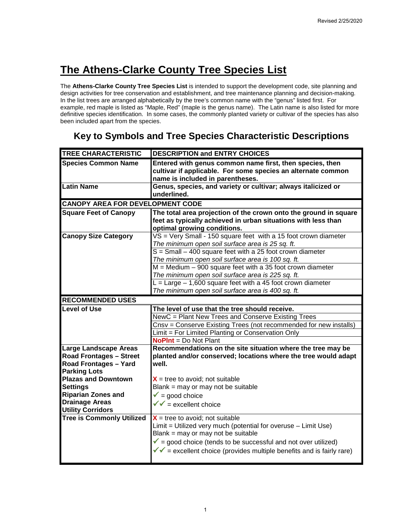The **Athens-Clarke County Tree Species List** is intended to support the development code, site planning and design activities for tree conservation and establishment, and tree maintenance planning and decision-making. In the list trees are arranged alphabetically by the tree's common name with the "genus" listed first. For example, red maple is listed as "Maple, Red" (maple is the genus name). The Latin name is also listed for more definitive species identification. In some cases, the commonly planted variety or cultivar of the species has also been included apart from the species.

## **Key to Symbols and Tree Species Characteristic Descriptions**

| <b>TREE CHARACTERISTIC</b>                        | <b>DESCRIPTION and ENTRY CHOICES</b>                                                           |
|---------------------------------------------------|------------------------------------------------------------------------------------------------|
| <b>Species Common Name</b>                        | Entered with genus common name first, then species, then                                       |
|                                                   | cultivar if applicable. For some species an alternate common                                   |
| <b>Latin Name</b>                                 | name is included in parentheses.                                                               |
|                                                   | Genus, species, and variety or cultivar; always italicized or<br>underlined.                   |
|                                                   |                                                                                                |
| <b>CANOPY AREA FOR DEVELOPMENT CODE</b>           |                                                                                                |
| <b>Square Feet of Canopy</b>                      | The total area projection of the crown onto the ground in square                               |
|                                                   | feet as typically achieved in urban situations with less than                                  |
| <b>Canopy Size Category</b>                       | optimal growing conditions.<br>VS = Very Small - 150 square feet with a 15 foot crown diameter |
|                                                   | The minimum open soil surface area is 25 sq. ft.                                               |
|                                                   | $S = S$ mall – 400 square feet with a 25 foot crown diameter                                   |
|                                                   | The minimum open soil surface area is 100 sq. ft.                                              |
|                                                   | $M =$ Medium $-900$ square feet with a 35 foot crown diameter                                  |
|                                                   | The minimum open soil surface area is 225 sq. ft.                                              |
|                                                   | $L = \text{Large} - 1,600$ square feet with a 45 foot crown diameter                           |
|                                                   | The minimum open soil surface area is 400 sq. ft.                                              |
| <b>RECOMMENDED USES</b>                           |                                                                                                |
| <b>Level of Use</b>                               | The level of use that the tree should receive.                                                 |
|                                                   | NewC = Plant New Trees and Conserve Existing Trees                                             |
|                                                   | Cnsv = Conserve Existing Trees (not recommended for new installs)                              |
|                                                   | Limit = For Limited Planting or Conservation Only                                              |
|                                                   | <b>NoPInt</b> = Do Not Plant                                                                   |
| <b>Large Landscape Areas</b>                      | Recommendations on the site situation where the tree may be                                    |
| <b>Road Frontages - Street</b>                    | planted and/or conserved; locations where the tree would adapt                                 |
| Road Frontages - Yard                             | well.                                                                                          |
| <b>Parking Lots</b><br><b>Plazas and Downtown</b> | $X =$ tree to avoid; not suitable                                                              |
| <b>Settings</b>                                   | Blank = may or may not be suitable                                                             |
| <b>Riparian Zones and</b>                         | $\sqrt{\ }$ = good choice                                                                      |
| <b>Drainage Areas</b>                             | $\sqrt{\sqrt{}}$ = excellent choice                                                            |
| <b>Utility Corridors</b>                          |                                                                                                |
| <b>Tree is Commonly Utilized</b>                  | $X =$ tree to avoid; not suitable                                                              |
|                                                   | Limit = Utilized very much (potential for overuse - Limit Use)                                 |
|                                                   | Blank = may or may not be suitable                                                             |
|                                                   | $\checkmark$ = good choice (tends to be successful and not over utilized)                      |
|                                                   | $\sqrt{\sqrt{ }}$ = excellent choice (provides multiple benefits and is fairly rare)           |
|                                                   |                                                                                                |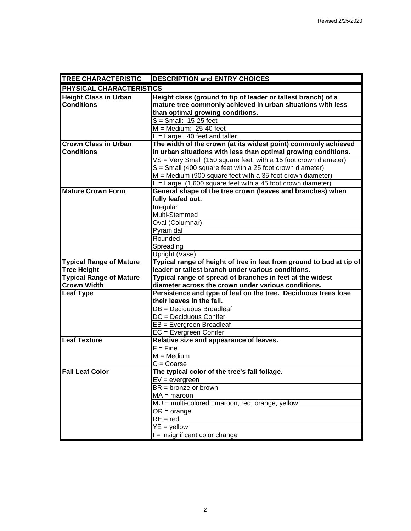| <b>TREE CHARACTERISTIC</b>     | <b>DESCRIPTION and ENTRY CHOICES</b>                                          |
|--------------------------------|-------------------------------------------------------------------------------|
| PHYSICAL CHARACTERISTICS       |                                                                               |
| <b>Height Class in Urban</b>   | Height class (ground to tip of leader or tallest branch) of a                 |
| <b>Conditions</b>              | mature tree commonly achieved in urban situations with less                   |
|                                | than optimal growing conditions.                                              |
|                                | $S = Small: 15-25$ feet                                                       |
|                                | $M = Medium: 25-40 feet$                                                      |
|                                | $L = Large: 40 feet and taller$                                               |
| <b>Crown Class in Urban</b>    | The width of the crown (at its widest point) commonly achieved                |
| <b>Conditions</b>              | in urban situations with less than optimal growing conditions.                |
|                                | $VS = Very$ Small (150 square feet with a 15 foot crown diameter)             |
|                                | S = Small (400 square feet with a 25 foot crown diameter)                     |
|                                | $M =$ Medium (900 square feet with a 35 foot crown diameter)                  |
|                                | $L = \text{Large } (1,600 \text{ square feet with a 45 foot crown diameter})$ |
| <b>Mature Crown Form</b>       | General shape of the tree crown (leaves and branches) when                    |
|                                | fully leafed out.                                                             |
|                                | Irregular                                                                     |
|                                | Multi-Stemmed                                                                 |
|                                | Oval (Columnar)                                                               |
|                                | Pyramidal                                                                     |
|                                | Rounded                                                                       |
|                                | Spreading                                                                     |
|                                | Upright (Vase)                                                                |
| <b>Typical Range of Mature</b> | Typical range of height of tree in feet from ground to bud at tip of          |
| <b>Tree Height</b>             | leader or tallest branch under various conditions.                            |
| <b>Typical Range of Mature</b> | Typical range of spread of branches in feet at the widest                     |
| <b>Crown Width</b>             | diameter across the crown under various conditions.                           |
| <b>Leaf Type</b>               | Persistence and type of leaf on the tree. Deciduous trees lose                |
|                                | their leaves in the fall.                                                     |
|                                | DB = Deciduous Broadleaf                                                      |
|                                | DC = Deciduous Conifer                                                        |
|                                | EB = Evergreen Broadleaf                                                      |
|                                | EC = Evergreen Conifer                                                        |
| <b>Leaf Texture</b>            | Relative size and appearance of leaves.                                       |
|                                | $\overline{F}$ = Fine                                                         |
|                                | $M = Medium$                                                                  |
|                                | $C = \text{Coarse}$                                                           |
| <b>Fall Leaf Color</b>         | The typical color of the tree's fall foliage.                                 |
|                                | $EV = evergreen$                                                              |
|                                | $BR =$ bronze or brown                                                        |
|                                | $MA = maroon$                                                                 |
|                                | MU = multi-colored: maroon, red, orange, yellow                               |
|                                | $OR = orange$                                                                 |
|                                | $RE = red$                                                                    |
|                                | $YE = yellow$                                                                 |
|                                | I = insignificant color change                                                |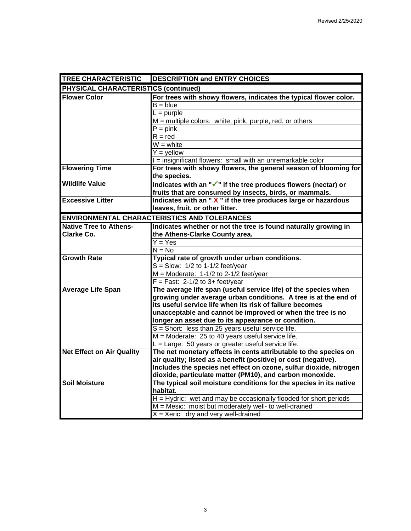| <b>TREE CHARACTERISTIC</b>           | <b>DESCRIPTION and ENTRY CHOICES</b>                                                                                               |
|--------------------------------------|------------------------------------------------------------------------------------------------------------------------------------|
| PHYSICAL CHARACTERISTICS (continued) |                                                                                                                                    |
| <b>Flower Color</b>                  | For trees with showy flowers, indicates the typical flower color.                                                                  |
|                                      | $B = blue$                                                                                                                         |
|                                      | $L =$ purple                                                                                                                       |
|                                      | M = multiple colors: white, pink, purple, red, or others                                                                           |
|                                      | $P = pink$                                                                                                                         |
|                                      | $R = red$                                                                                                                          |
|                                      | $W =$ white                                                                                                                        |
|                                      | $Y =$ yellow                                                                                                                       |
|                                      | I = insignificant flowers: small with an unremarkable color                                                                        |
| <b>Flowering Time</b>                | For trees with showy flowers, the general season of blooming for                                                                   |
|                                      | the species.                                                                                                                       |
| <b>Wildlife Value</b>                | Indicates with an "√" if the tree produces flowers (nectar) or                                                                     |
|                                      | fruits that are consumed by insects, birds, or mammals.                                                                            |
| <b>Excessive Litter</b>              | Indicates with an "X" if the tree produces large or hazardous                                                                      |
|                                      | leaves, fruit, or other litter.                                                                                                    |
|                                      | <b>ENVIRONMENTAL CHARACTERISTICS AND TOLERANCES</b>                                                                                |
| <b>Native Tree to Athens-</b>        | Indicates whether or not the tree is found naturally growing in                                                                    |
| <b>Clarke Co.</b>                    | the Athens-Clarke County area.                                                                                                     |
|                                      | $Y = Yes$                                                                                                                          |
|                                      | $N = No$                                                                                                                           |
| <b>Growth Rate</b>                   | Typical rate of growth under urban conditions.                                                                                     |
|                                      | $S =$ Slow: 1/2 to 1-1/2 feet/year                                                                                                 |
|                                      | $M =$ Moderate: 1-1/2 to 2-1/2 feet/year                                                                                           |
|                                      | $F = Fast: 2-1/2 to 3+ feet/year$                                                                                                  |
| <b>Average Life Span</b>             | The average life span (useful service life) of the species when<br>growing under average urban conditions. A tree is at the end of |
|                                      | its useful service life when its risk of failure becomes                                                                           |
|                                      | unacceptable and cannot be improved or when the tree is no                                                                         |
|                                      | longer an asset due to its appearance or condition.                                                                                |
|                                      | $S =$ Short: less than 25 years useful service life.                                                                               |
|                                      | M = Moderate: 25 to 40 years useful service life.                                                                                  |
|                                      | L = Large: 50 years or greater useful service life.                                                                                |
| <b>Net Effect on Air Quality</b>     | The net monetary effects in cents attributable to the species on                                                                   |
|                                      | air quality; listed as a benefit (positive) or cost (negative).                                                                    |
|                                      | Includes the species net effect on ozone, sulfur dioxide, nitrogen                                                                 |
|                                      | dioxide, particulate matter (PM10), and carbon monoxide.                                                                           |
| <b>Soil Moisture</b>                 | The typical soil moisture conditions for the species in its native                                                                 |
|                                      | habitat.                                                                                                                           |
|                                      | H = Hydric: wet and may be occasionally flooded for short periods                                                                  |
|                                      | $M =$ Mesic: moist but moderately well- to well-drained                                                                            |
|                                      | $X = X$ eric: dry and very well-drained                                                                                            |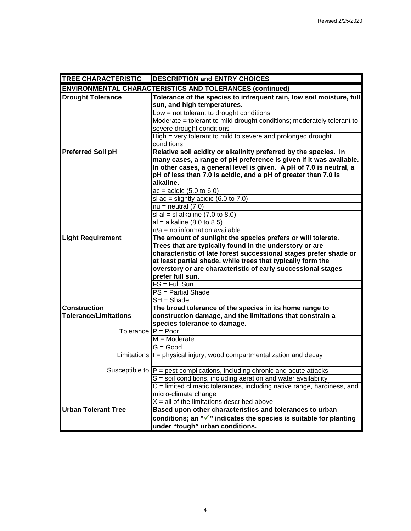| <b>TREE CHARACTERISTIC</b>   | <b>DESCRIPTION and ENTRY CHOICES</b>                                                          |
|------------------------------|-----------------------------------------------------------------------------------------------|
|                              | <b>ENVIRONMENTAL CHARACTERISTICS AND TOLERANCES (continued)</b>                               |
| <b>Drought Tolerance</b>     | Tolerance of the species to infrequent rain, low soil moisture, full                          |
|                              | sun, and high temperatures.                                                                   |
|                              | Low = not tolerant to drought conditions                                                      |
|                              | Moderate = tolerant to mild drought conditions; moderately tolerant to                        |
|                              | severe drought conditions                                                                     |
|                              | High = very tolerant to mild to severe and prolonged drought                                  |
|                              | conditions                                                                                    |
| <b>Preferred Soil pH</b>     | Relative soil acidity or alkalinity preferred by the species. In                              |
|                              | many cases, a range of pH preference is given if it was available.                            |
|                              | In other cases, a general level is given. A pH of 7.0 is neutral, a                           |
|                              | pH of less than 7.0 is acidic, and a pH of greater than 7.0 is<br>alkaline.                   |
|                              | $ac = acidic (5.0 to 6.0)$                                                                    |
|                              | sl ac = slightly acidic $(6.0 \text{ to } 7.0)$                                               |
|                              | $nu = neutral (7.0)$                                                                          |
|                              | sl al = sl alkaline $(7.0 \text{ to } 8.0)$                                                   |
|                              | $al = alkaline (8.0 to 8.5)$                                                                  |
|                              | $n/a = no$ information available                                                              |
| <b>Light Requirement</b>     | The amount of sunlight the species prefers or will tolerate.                                  |
|                              | Trees that are typically found in the understory or are                                       |
|                              | characteristic of late forest successional stages prefer shade or                             |
|                              | at least partial shade, while trees that typically form the                                   |
|                              | overstory or are characteristic of early successional stages                                  |
|                              | prefer full sun.                                                                              |
|                              | $FS = Full Sun$                                                                               |
|                              | PS = Partial Shade                                                                            |
|                              | SH = Shade                                                                                    |
| <b>Construction</b>          | The broad tolerance of the species in its home range to                                       |
| <b>Tolerance/Limitations</b> | construction damage, and the limitations that constrain a                                     |
|                              | species tolerance to damage.                                                                  |
| Tolerance $P = Poor$         |                                                                                               |
|                              | $M = Moderate$                                                                                |
|                              | $G = Good$<br>Limitations $\vert\vert =$ physical injury, wood compartmentalization and decay |
|                              |                                                                                               |
|                              | Susceptible to $P =$ pest complications, including chronic and acute attacks                  |
|                              | S = soil conditions, including aeration and water availability                                |
|                              | $C =$ limited climatic tolerances, including native range, hardiness, and                     |
|                              | micro-climate change                                                                          |
|                              | $X =$ all of the limitations described above                                                  |
| <b>Urban Tolerant Tree</b>   | Based upon other characteristics and tolerances to urban                                      |
|                              | conditions; an "√" indicates the species is suitable for planting                             |
|                              | under "tough" urban conditions.                                                               |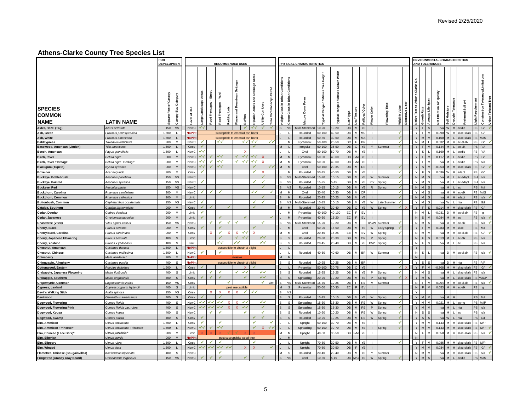|                                        |                                            | FOR<br><b>DEVELOPMEN</b>                      |                            |                               |                           |                                 |             | <b>RECOMMENDED USES</b>                            |                                     |                   |                        |                                  |                                                                                | PHYSICAL CHARACTERISTICS |                                           |                                       |                         |                    |                |                      |               |              |                                         |                                           | <b>ENVIRONMENTALCHARACTERISTICS</b><br><b>AND TOLERANCES</b> |                |                |                         |                                                 |                     |
|----------------------------------------|--------------------------------------------|-----------------------------------------------|----------------------------|-------------------------------|---------------------------|---------------------------------|-------------|----------------------------------------------------|-------------------------------------|-------------------|------------------------|----------------------------------|--------------------------------------------------------------------------------|--------------------------|-------------------------------------------|---------------------------------------|-------------------------|--------------------|----------------|----------------------|---------------|--------------|-----------------------------------------|-------------------------------------------|--------------------------------------------------------------|----------------|----------------|-------------------------|-------------------------------------------------|---------------------|
|                                        |                                            |                                               |                            |                               |                           |                                 |             |                                                    |                                     |                   |                        |                                  |                                                                                |                          |                                           |                                       |                         |                    |                |                      |               |              |                                         |                                           |                                                              |                |                |                         |                                                 |                     |
| <b>SPECIES</b><br><b>COMMON</b>        |                                            | Square Feet of Canopy<br>Canopy Size Category | ۊ<br>৳<br>evel             | Areas<br>cape<br>Landso<br>g, | Street<br>Frontages<br>ad | Yard<br><b>Frontages</b><br>oad | arking Lots | <b>Settings</b><br>wntown<br>azas and Do<br>uffers | Areas<br>nage<br>Drai<br>parian Zor | tility Corridors  | Utilized<br>Commononly | Height Class in Urban Conditions | Conditio<br>Urban<br>$\mathrel{\mathop{\mathsf{g}}\nolimits}$<br>Class<br>rown | ৯                        | Height<br>Mature Tree<br>৳<br>Range<br>ුල | š<br>ō<br>Mature (<br>৳<br>Range<br>평 | eaf Texture<br>eaf Type | all Leaf Colo      | Color<br>lower | ering                | Vildlife Valu | assive Litte | -Clarke Co.<br><b>Vative Tree to At</b> | Span<br>verage Life<br><b>Growth Rate</b> | Quality<br>et Effect on Air                                  | Moistu         |                | 玉<br>I Soil<br>ᄝ        | Tolerance/Limitations<br>construction           | Jrban Tolerant Tree |
| <b>NAME</b>                            | <b>LATIN NAME</b>                          |                                               |                            |                               |                           |                                 |             |                                                    |                                     |                   | ၉၉                     |                                  |                                                                                |                          | 욧                                         |                                       |                         |                    |                |                      |               |              |                                         |                                           |                                                              |                |                |                         |                                                 |                     |
| Alder, Hazel (Tag)                     | Alnus serrulata                            | 150<br>$\mathsf{VS}$                          | NewC                       | ✓✓                            |                           |                                 |             | ✓∣                                                 | $\checkmark$                        | $\checkmark$      | ✓                      | s                                | <b>VS</b>                                                                      | Multi-Stemmed 10-20      |                                           | $10 - 20$                             | DB<br>M                 | YE                 | $\mathbf{L}$   |                      |               |              | Y                                       | <sub>S</sub>                              |                                                              |                | n/a W M acidic |                         | $\mathbb{G}/% \mathbb{G}^{\prime}$<br><b>FS</b> | √                   |
| Ash, Green                             | Fraxinus pennsylvanica                     | 1,600<br>$\mathbf{L}$                         | NoPln                      |                               |                           |                                 |             | susceptible to emerald ash bore                    |                                     |                   |                        |                                  | $\blacksquare$                                                                 | Rounded                  | 60-100                                    | 40-50                                 | DB                      | M MU               |                |                      | ✔             |              | Y                                       | F<br>M                                    |                                                              | 0.090 W        |                | sl ac-sl all            | G/                                              |                     |
| Ash, White                             | Fraxinus americana                         | 1,600                                         | <b>JoPlr</b>               |                               |                           |                                 |             | susceptible to emerald ash borer                   |                                     |                   |                        |                                  |                                                                                | Rounded                  | $50 - 80$                                 | 30-60                                 | DB.                     | M MA<br>F          |                |                      | ✓             |              | $\vee$                                  | $\overline{M}$                            | 0.100                                                        | <b>M</b>       |                | l ac-si alk             | M/IS                                            |                     |
| <b>Baldcypress</b>                     | Taxodium distichum<br>Tilia americana      | M<br>900<br>1.600<br>$\mathbf{L}$             | NewC<br>Cnsv               | $\checkmark$<br>✓             |                           | ✓✓                              |             |                                                    | マイ イイ<br>$\checkmark$               |                   | V V                    |                                  | M<br>$\mathbf{I}$                                                              | Pyramidal<br>Irregular   | 50-100<br>60-100                          | 20-50<br>35-50                        | DC.<br>DBCYE            | <b>BR</b>          | $\mathbf{L}$   | Y Summer             |               |              | ${\sf N}$<br>Y                          | M<br>E<br><b>M</b>                        | 0.032                                                        | 0.144 M        |                | M H ac-sl alk<br>ac-alk | G/<br>P/A                                       |                     |
| Basswood, American (Linden)            | Fagus grandifolia                          | 1.600<br>L.                                   | <b>NewC</b>                | ✓✓                            |                           |                                 |             | $\mathbf{x}$                                       |                                     |                   |                        |                                  |                                                                                | Oval                     | 80-100                                    | 50-70                                 | DB.                     | M<br>YE            |                |                      |               |              | $\vee$                                  | $\mathbf{S}$                              | 0.160                                                        |                |                | acidic                  | P/A                                             |                     |
| Beech, American<br><b>Birch, River</b> | Betula nigra                               | 900<br>M                                      | NewC                       | ✓✓                            |                           | $\checkmark$                    |             | ✓✓                                                 |                                     |                   |                        | M                                | M                                                                              | Pyramidal                | 50-90                                     | 40-60                                 | DB F/M                  | YE                 |                |                      |               |              | Y                                       | F                                         | 0.117                                                        |                |                | acidic                  | G/                                              |                     |
| <b>Birch, River 'Heritage'</b>         |                                            | 900<br>М                                      | NewC                       | ✓✓                            | ✔                         | ✓√                              |             | ✓✓                                                 | ∢√                                  |                   |                        | M                                | M                                                                              | Pyramidal                | 50-90                                     | 40-60                                 | DB F/M                  | YE                 | $\mathbf{I}$   |                      |               |              | Y                                       | F                                         | n/a                                                          |                |                | acidic                  | n/a                                             |                     |
| <b>Blackgum (Tupelo)</b>               | Betula nigra 'Heritage'<br>Nyssa sylvatica | M<br>900                                      | NewC                       | ✓✓                            | ✓                         | ✓√                              |             |                                                    | ✓                                   |                   |                        |                                  | M                                                                              | Oval                     | 50-100                                    | $20 - 35$                             | DB M RE                 |                    |                |                      |               |              | Y                                       | - S                                       | $-0.053$                                                     |                |                | sl ac-sl all            | G/                                              |                     |
|                                        |                                            | M<br>900                                      | Cnsy                       | √                             |                           |                                 |             |                                                    | ✓                                   |                   |                        |                                  | M                                                                              | Rounded                  | 50-75                                     | 40-50                                 | DВ                      | M.<br>YE           |                |                      |               |              | Y                                       |                                           | 0.036                                                        |                |                | adapt                   | G/                                              |                     |
| <b>Boxelder</b>                        | Acer negundo                               | 150                                           |                            |                               |                           |                                 |             |                                                    |                                     | ✓                 |                        |                                  |                                                                                | Multi-Stemmed 15-20      |                                           |                                       | DB                      | M<br>YE            | W              |                      |               |              | N                                       | M<br>$\mathbf{S}$                         |                                                              |                |                |                         |                                                 |                     |
| <b>Buckeye, Bottlebrush</b>            | Aesculus parviflora                        | <b>VS</b><br>150<br><b>VS</b>                 | <b>NewC</b><br><b>NewC</b> | ✓                             |                           |                                 |             |                                                    | $\checkmark$                        | ✔                 |                        |                                  | <b>VS</b><br><b>VS</b>                                                         | Rounded                  | $15 - 25$                                 | $10 - 15$<br>$5 - 15$                 | DB.                     | M<br>YE            |                | Summer<br>P/Y Spring |               |              | $\vee$                                  |                                           |                                                              | $n/a$ N<br>n/a |                | c-adapt<br>ac-adapt     | n/a<br>n/a                                      |                     |
| <b>Buckeye, Painted</b>                | Aesculus sylvatica<br>Aesculus pavia       | 150<br><b>VS</b>                              | <b>NewC</b>                |                               |                           |                                 |             |                                                    |                                     | √                 |                        |                                  | <b>VS</b>                                                                      | Rounded                  | $10 - 15$                                 | $10 - 15$                             | DB                      | M<br>YE            | $\mathsf{R}$   |                      |               |              | N                                       | $\mathbf{M}$<br><sub>S</sub>              |                                                              | $n/a$ M        |                |                         | M <sub>1</sub>                                  |                     |
| <b>Buckeye, Red</b>                    |                                            | 900<br>M                                      |                            | ✓                             | ✔                         | ✔                               |             |                                                    | ∢√                                  |                   |                        | M                                | M                                                                              | Oval                     | $30 - 40$                                 |                                       | DB.                     | M OR               | $\blacksquare$ | Spring               |               |              | $\vee$                                  | -S                                        |                                                              |                |                | M ac-alk                | M/IS                                            |                     |
| <b>Buckthorn, Carolina</b>             | Rhamnus caroliniana                        | M<br>900                                      | <b>NewC</b>                |                               |                           |                                 |             |                                                    |                                     |                   |                        | $\mathbf{s}$                     | M                                                                              | Rounded                  | 20-25                                     | $10 - 30$<br>$20 - 25$                | DB                      | M<br>YE            |                |                      |               |              | $\mathsf{N}$                            | M<br>$\mathcal{S}$                        |                                                              | $n/a$ M        |                | adapt                   |                                                 | n/a                 |
| <b>Buckthorn, Common</b>               | Rhamnus cathartica                         |                                               | Limit                      |                               |                           |                                 |             |                                                    | ✔                                   | ✔                 |                        |                                  |                                                                                |                          |                                           |                                       |                         | M<br>YF            | W              |                      |               |              | $\vee$                                  | $\overline{M}$                            |                                                              | $n/a$ M        |                |                         |                                                 |                     |
| <b>Buttonbush, Common</b>              | Cephalanthus occidentalis                  | VS<br>150                                     | New <sub>C</sub>           | ✔                             |                           |                                 |             |                                                    | $\checkmark$                        |                   |                        |                                  | $V^{\mathcal{S}}$<br>M                                                         | Multi-Stemmed 10-15      |                                           | $10 - 15$                             | DB.                     |                    |                | Late Summer          |               |              | $\mathsf{Y}$                            | F                                         |                                                              | $n/a$ W        |                | n/a                     | G/I<br>G/                                       |                     |
| Catalpa, Southern                      | Catalpa bignonioides                       | 900<br>M                                      | Cnsv                       | ✔                             |                           |                                 |             |                                                    |                                     |                   |                        |                                  |                                                                                | Rounded                  | $30 - 40$                                 | $30 - 40$                             | DB                      | $\mathsf{C}$<br>YE | ${\sf W}$      | Spring               |               |              |                                         |                                           |                                                              | 0.014 M        |                | sl ac-sl alk            |                                                 |                     |
| Cedar, Deodar                          | Cedrus deodara                             | M<br>900                                      | I imit                     | √                             |                           |                                 |             |                                                    |                                     |                   |                        |                                  | M                                                                              | Pyramidal                | 40-100                                    | 40-100                                | ЕC.                     | EV<br>F            |                |                      |               |              | $\mathsf{N}$                            | M                                         | $-0.031$                                                     | D.             |                | H ac-sl alk             | $\alpha$                                        |                     |
| Cedar, Japanese                        | Cryptomeria japonica                       | 900<br>${\sf M}$                              | Limit                      |                               |                           | ✔                               |             | ✓                                                  |                                     |                   |                        |                                  | M                                                                              | Pyramidal                | 40-60                                     | $15 - 20$                             | EC I                    | F<br>EV            | $\mathbf{I}$   |                      |               |              | ${\sf N}$                               | <sub>S</sub>                              |                                                              | 0.084 M        |                |                         | n/a                                             | v                   |
| <b>Chastetree (Vitex)</b>              | Vitex agnus-castus                         | <b>VS</b><br>150                              | NewC                       |                               | ✔                         | ✔                               | ✓           |                                                    |                                     | √                 |                        |                                  | VS                                                                             | Multi-Stemmed 15-20      |                                           | $10 - 20$                             | DB                      | M                  |                | B/L/W Summer         |               |              | ${\sf N}$                               | M<br>-S                                   |                                                              | $n/a$ D        |                | ac-alk                  |                                                 | $\checkmark$<br>n/a |
| Cherry, Black                          | Prunus serotina                            | 900<br>M                                      | Cnsv                       |                               |                           | ✔                               |             |                                                    | ✓                                   |                   |                        |                                  | M                                                                              | Oval                     | 50-90                                     | $15-50$                               | DB                      | M<br><b>YE</b>     | ${\sf W}$      | Early Spring         |               |              | $\mathsf{Y}$                            | F<br>M                                    |                                                              | 0.083 M        |                | sl ac                   | M <sub>1</sub>                                  |                     |
| Cherrylaurel, Carolina                 | Prunus caroliniana                         | M<br>900                                      | Cnsy                       |                               | $\mathbf{Y}$              | ✔                               |             | ✓✓                                                 | $\mathbf{v}$                        |                   |                        |                                  | M                                                                              | Oval                     | $20 - 40$                                 | 15-25                                 | FB.                     | EV<br>M            |                | W Spring             |               |              | $\overline{N}$                          | $\mathbf{A}$                              |                                                              | $n/a$ M        |                | H ac-slalk              | G/                                              | $\checkmark$        |
| <b>Cherry, Japanese Flowering</b>      | Prunus serrulata                           | 400<br>$\mathsf{s}$                           | Limit                      |                               |                           | √                               |             | ✓✓                                                 |                                     | ✔✔                |                        |                                  | $\mathbf{s}$                                                                   | Rounded                  | $20 - 30$                                 | 20-30                                 | DB.                     | $M$ OR             | P              | Spring               |               |              | $\,$ N $\,$                             | F                                         |                                                              | 0.013 M        |                | c-alk                   | n/a                                             |                     |
| Cherry, Yoshino                        | Prunes x yedoensis                         | s<br>400                                      | 1 imt                      |                               |                           | ✓✓                              |             | √√                                                 |                                     | $\checkmark$      |                        |                                  | $\mathbf{S}$                                                                   | Rounded                  | $20 - 45$                                 | $20 - 40$                             | DB.                     | M<br>YE            |                | P/W Spring           |               |              | N                                       | <b>F</b>                                  |                                                              | $n/a$ M        |                |                         | n/a                                             |                     |
| Chestnut, American                     | Castanea dentata                           | 1,600<br>$\mathsf{L}$                         | NoPln                      |                               |                           |                                 |             | susceptible to chestnut blight                     |                                     |                   |                        |                                  | $\mathbf{L}$                                                                   |                          |                                           |                                       |                         |                    |                |                      |               |              | $\mathsf{Y}$                            |                                           |                                                              |                |                |                         |                                                 | ú                   |
| <b>Chestnut, Chinese</b>               | Castanea mollissima                        | 1,600                                         | NewC                       | ✓                             |                           | ✔                               |             |                                                    |                                     |                   |                        |                                  |                                                                                | Rounded                  | 40-60                                     | 40-60                                 | DВ                      | M<br><b>BR</b>     | W              | Summer               |               |              | N                                       |                                           | n/a                                                          |                |                | ac-sl alk               | n/a                                             |                     |
| Chinaberry                             | Melia azedarach                            | 900<br>${\sf M}$                              | <b>JoPIn</b>               |                               |                           |                                 |             | invasive                                           |                                     |                   |                        |                                  | M                                                                              |                          |                                           |                                       |                         |                    |                |                      |               |              | N                                       |                                           |                                                              |                |                |                         |                                                 |                     |
| Chinquapin, Allegheny                  | Castanea pumila                            | 400<br>s                                      | <b>JoPIn</b>               |                               |                           |                                 |             | susceptible to chestnut blight                     |                                     |                   |                        |                                  | l s                                                                            | Rounded                  | $10 - 25$                                 | $10 - 25$                             | DB                      | M<br><b>BR</b>     |                |                      | ✔             |              | Y                                       | $\mathcal{S}$<br><sub>S</sub>             |                                                              | $n/a$ $D$      |                |                         | P/P                                             |                     |
| Cottonwood, Eastern                    | Populus deltoides                          | 1,600<br>$\mathsf{L}$                         | Cnsv                       |                               |                           |                                 |             | $\mathbf{x}$                                       | $\checkmark$                        |                   |                        |                                  |                                                                                | Pyramidal                | 50-100                                    | 20-75                                 | DB                      | $\mathsf{C}$<br>YE | $\blacksquare$ |                      | ✓<br>✓        |              | Y                                       | F<br>M                                    |                                                              | $-0.708$ M     |                | sl ac-sl alk            | $\mathbb{G}/$                                   |                     |
| Crabapple, Japanese Flowering          | Malus floribunda                           | 400<br>$\mathbb S$                            | Limit                      |                               | ✓                         | ✓<br>✓                          |             | ✓✓<br>√                                            |                                     | ✔✔                |                        | S.                               | s.                                                                             | Rounded                  | $15 - 25$                                 | $15 - 25$                             | DB<br>M                 | YE                 | P.             | Spring               |               |              | ${\sf N}$                               | M<br>$\mathbf{s}$                         |                                                              | $n/a$ M        |                | sl ac-sl all            | n/a                                             |                     |
| Crabapple, Southern                    | Malus angustifolia                         | 400<br>$\mathbb S$                            | Cnsv                       |                               |                           |                                 |             | ✔                                                  |                                     | ✔✔                |                        | S                                | <sub>S</sub>                                                                   | Spreading                | 20-25                                     | $10 - 20$                             | DB                      | M YE               |                | P Spring             |               |              | $\mathsf{Y}$                            | $\overline{M}$<br>s                       |                                                              | $n/a$ M        |                | $L$ sl ac-sl alk        |                                                 | <b>M/ICP</b>        |
| Crapemyrtle, Common                    | Lagerstroemia indica                       | 150<br><b>VS</b>                              | Cnsv                       |                               |                           |                                 | ✓           |                                                    |                                     | $\checkmark$ Limt |                        | S.                               | <b>VS</b>                                                                      | Multi-Stemmed 15-30      |                                           | 10-25                                 | DB                      | F RE               |                | M Summer             |               |              | $\mathsf N$                             | I F<br>M<br>F                             |                                                              |                |                | $0.004$ M H ac-sl alk   | n/a                                             |                     |
| Cypress, Leyland                       | Cupressocyparis leylandii                  | 400<br>$\mathsf{s}$                           | Limit                      |                               |                           |                                 | ¥           | pest susceptible<br>$\checkmark$<br>$\mathbf x$    | ✓✓                                  |                   |                        | M                                | $\mathcal{S}$                                                                  | Pyramidal                | 50-60                                     | $20 - 30$                             | EC I                    | $F$ $FV$           |                |                      |               |              | N                                       | M                                         |                                                              | $0.053$ M M    |                | ac-alk                  | $\alpha$                                        |                     |
| <b>Devil's Walking Stick</b>           | Aralia spinosa                             | 150<br><b>VS</b><br>$\mathsf{s}$              | Cnsv                       |                               |                           |                                 |             |                                                    |                                     |                   |                        |                                  | <b>VS</b>                                                                      |                          |                                           |                                       |                         |                    |                |                      |               |              | $\vee$<br>$\vee$                        |                                           |                                                              |                |                |                         |                                                 |                     |
| <b>Devilwood</b>                       | Osmanthus americanus                       | 400                                           | Cnsv                       |                               | マイ イイ                     | ✓√                              |             | ✓√                                                 |                                     | ✓√                |                        |                                  | $\mathbf{s}$                                                                   | Rounded                  | $15 - 25$                                 | $10 - 15$                             | DB.                     | M<br>YE            | W              | Spring               |               |              |                                         |                                           | n/a                                                          |                |                |                         | M/I                                             |                     |
| Dogwood, Flowering                     | Cornus florida                             | 400<br>s                                      | NewC                       | $\checkmark$                  | $\checkmark$              | $\checkmark$                    |             | ✓√                                                 |                                     |                   |                        | $\mathbf{s}$                     | s                                                                              | Spreading                | 15-30                                     | 15-30                                 | DB.                     | M RE               | W              | Spring               |               |              | Y<br>$\mathsf{Y}$                       | M<br>M                                    | 0.021                                                        |                |                | ac-nu                   | M/IP                                            |                     |
| Dogwood, Flowering Pink                | Cornus florida var. rubra                  | 400<br>$\mathsf{s}$                           | <b>NewC</b>                |                               |                           |                                 |             |                                                    |                                     | ✔                 |                        | s                                | s                                                                              | Spreading                | 15-30                                     | $15-30$                               | DB                      | M RE               | P.             | Spring               |               |              |                                         |                                           |                                                              | $n/a$ M        |                | n/a                     | n/a                                             |                     |
| Dogwood, Kousa                         | Cornus kousa                               | s<br>400                                      | NewC                       |                               | ✔                         | ✔                               |             | ✔                                                  |                                     | ✔                 |                        | S                                | s                                                                              | Rounded                  | $10 - 20$                                 | $10 - 20$                             | DB                      | M RE               | W              | Spring               | ✓             |              | ${\sf N}$                               | s<br>-S                                   |                                                              | $n/a$ M        |                |                         | n/a                                             |                     |
| Dogwood, Swamp                         | Cornus stricta                             | $\mathsf{s}$<br>400                           | Cnsv                       | √                             |                           |                                 |             |                                                    |                                     | √                 |                        |                                  | $\mathcal{S}$                                                                  | Rounded                  | $10 - 25$                                 | $10-25$                               | DB                      | M RE               | W              | Spring               |               |              |                                         |                                           | n/s                                                          |                |                | n/a                     | G/I                                             |                     |
| Elm, American                          | Ulmus americana                            | 1.600                                         | Cnsv                       | ✓                             |                           | ✓                               |             |                                                    | ✔                                   |                   | √                      |                                  | $\blacksquare$                                                                 | Upright                  | 50-100                                    | 30-70                                 | DB                      | M<br>YE            |                |                      | ✓             |              | Y                                       | $\sim$                                    |                                                              | $0.143$ M      |                | sl ac-sl alk            | M/P                                             |                     |
| Elm, American 'Princeton'              | Ulmus americana 'Princeton'                | 1.600<br>ш                                    | <b>NewC</b>                | ✓✓∣                           |                           | ✓✓                              |             |                                                    | $\checkmark$                        |                   | $\checkmark$           |                                  |                                                                                | Spreading                | 50-100                                    | 30-70                                 | DB                      | M YE               | $\mathbf{I}$   | Spring               |               |              | $\vee$                                  |                                           | 0.143                                                        |                |                | sl ac-sl alk            | M/P                                             |                     |
| Elm, Chinese (Lace Bark)*              | Ulmus parvifolia                           | 900<br>M                                      | Limit                      |                               |                           |                                 |             |                                                    |                                     |                   |                        | M                                | M                                                                              | Upright                  | 40-60                                     | $30 - 50$                             | DB F/M                  | YE                 |                |                      |               |              | $\mathsf N$                             | - F<br>M                                  | 0.058                                                        |                |                | l ac-si alk             | n/a                                             | √                   |
| Elm, Siberian                          | Ulmus pumila                               | 900<br>${\sf M}$                              | <b>JoPIn</b>               |                               |                           |                                 |             | pest susceptible; weed tree                        |                                     |                   |                        |                                  | M                                                                              |                          |                                           |                                       |                         |                    |                |                      |               |              | N                                       |                                           |                                                              |                |                |                         |                                                 |                     |
| Elm, Slippery                          | Ulmus rubra                                | 1,600<br>$\mathbf{L}$                         | Cnsv                       |                               | u                         | ✔                               |             |                                                    | ✓                                   |                   |                        |                                  |                                                                                | Upright                  | 70-80                                     | 30-50                                 | DB                      | M<br>YE            |                |                      |               |              | Y                                       | M                                         |                                                              | $0.086$ M      |                | sl ac-sl alk            |                                                 | M/P                 |
| Elm, Winged                            | Jimus alata                                | 1.600                                         | NewC                       | $\checkmark$                  | $\checkmark$              | ✔✔                              |             |                                                    |                                     |                   |                        |                                  |                                                                                | Upright                  | 70-80                                     | 30-50                                 | DB.                     | F<br>YE            |                |                      |               |              |                                         | $\overline{N}$<br>$\mathbf{M}$            | 0.034                                                        | M              |                | ac-slall                | G/                                              | $\checkmark$        |
| Flametree, Chinese (Bougainvillea)     | Koelreuteria bipinnata                     | 400<br>s                                      | NewC                       |                               |                           | ✓                               |             |                                                    |                                     |                   |                        |                                  | <sub>S</sub>                                                                   | Rounded                  | 20-40                                     | $20 - 40$                             | DB                      | M<br>YE            |                | Y Summer             |               |              | $\mathsf{N}$                            | M<br>M                                    |                                                              | $n/a$ M H      |                | sl ac-sl alk            | n/a                                             | $\checkmark$        |
| <b>Fringetree (Grancy Gray Beard)</b>  | Chionanthus virginicus                     | <b>VS</b><br>150                              | <b>NewC</b>                |                               |                           |                                 |             |                                                    |                                     |                   |                        |                                  | VS                                                                             | Oval                     | $10-30$                                   | $5 - 15$                              | DB M/C YE               |                    | W              | Spring               |               |              | $\mathsf{Y}$                            | M<br>$\mathbf{s}$                         | n/a                                                          | M              |                | acidic                  | M/S                                             |                     |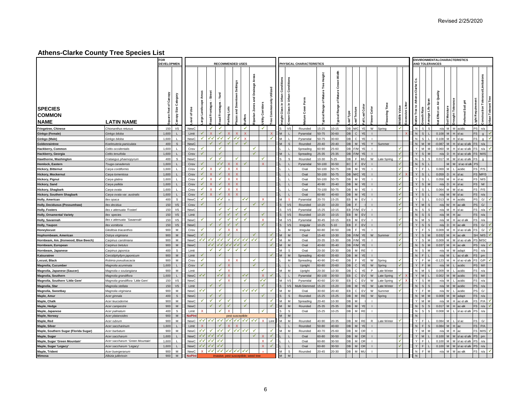|                                                |                                   | <b>FOR</b><br><b>DEVELOPMEN</b>                            |                  |                              |                         |                       |                         | <b>RECOMMENDED USES</b>                      |                                         |                            |                             |                                  |                                       | PHYSICAL CHARACTERISTICS |                                               |                                                    |                         |                           |                |               |                         |                |                                        |                                   | <b>ENVIRONMENTALCHARACTERISTICS</b><br><b>AND TOLERANCES</b> |              |              |                      |                                            |                     |
|------------------------------------------------|-----------------------------------|------------------------------------------------------------|------------------|------------------------------|-------------------------|-----------------------|-------------------------|----------------------------------------------|-----------------------------------------|----------------------------|-----------------------------|----------------------------------|---------------------------------------|--------------------------|-----------------------------------------------|----------------------------------------------------|-------------------------|---------------------------|----------------|---------------|-------------------------|----------------|----------------------------------------|-----------------------------------|--------------------------------------------------------------|--------------|--------------|----------------------|--------------------------------------------|---------------------|
|                                                |                                   |                                                            |                  |                              |                         |                       |                         |                                              |                                         |                            |                             |                                  |                                       |                          |                                               |                                                    |                         |                           |                |               |                         |                |                                        |                                   |                                                              |              |              |                      |                                            |                     |
| <b>SPECIES</b><br><b>COMMON</b><br><b>NAME</b> | <b>LATIN NAME</b>                 | quare Feet of Canopy<br>Category<br>Size<br><b>Adoue</b> : | ే<br>৳<br>g      | Areas<br>cape<br>Lands<br>g, | Street<br>pad Frontages | Yard<br>oad Frontages | Lots<br>arking l        | wntown Settings<br>and Dov<br>uffers<br>azas | Areas<br>nage<br>à<br>꾿<br>ian Zon<br>효 | <b>Corridors</b><br>tility | Utilized<br>Commononly<br>å | leight Class in Urban Conditions | Conditio<br>Urban<br>£.<br>පී<br>rown | 능<br>යි                  | Height<br>Mature Tree<br>৳<br>Range<br>rpical | š<br>ō<br><b>Mature</b><br>ъ<br>ඝ<br>Ran<br>ypical | eaf Texture<br>eaf Type | all Leaf Colo             | Color<br>ច្ន   | Ĕ<br>۱g       | Valu<br><b>Vildlife</b> | xcessive Litte | ပိ<br>ans-Clarke<br>lative Tree to Ath | န္တ<br>Life<br><b>irowth Rate</b> | È<br>£<br>$\bar{\sigma}$<br>ä<br>et Effect on                | oil Moi      | Ight         | 玉<br>Soil            | nce/Limitations<br>Tolerar<br>construction | Jrban Tolerant Tree |
| <b>Fringetree, Chinese</b>                     | Chionanthus retusus               | 150<br><b>VS</b>                                           | NewC             |                              | $\checkmark$            | ✓                     |                         | ✓                                            |                                         | $\checkmark$               |                             |                                  | I vs                                  | Rounded                  | 15-25                                         | $10 - 15$                                          | DB M/C                  | YE                        |                | W Spring      | ✓                       |                | ${\sf N}$                              | <sub>S</sub>                      |                                                              | $n/a$ M M    |              | acidic               | n/a                                        |                     |
| Ginkgo (Female)                                | Ginkgo biloba                     | 1,600<br>L                                                 | Limit            | ✓                            | $\mathbf x$             | √                     |                         | $\overline{\mathsf{x}}$                      |                                         |                            |                             | M                                |                                       | Pyramidal                | 50-75                                         | $30 - 60$                                          | DB                      | $\mathsf{C}$<br>YE        | $\blacksquare$ |               |                         |                | N                                      | s                                 |                                                              | $0.108$ M    |              | sl ac                | $\alpha$                                   | v                   |
| Ginkgo (Male)                                  | Ginkgo biloba                     | 1,600                                                      | NewC             | ✓                            | $\checkmark$            | ✔✔                    | ✓                       | ✔<br>X                                       |                                         |                            | ✔                           |                                  |                                       | Pyramidal                | 50-75                                         | 30-60                                              | DB                      | $\mathsf{C}$<br>YE        |                |               |                         |                | N                                      |                                   | 0.108                                                        |              |              | sl ac                | $\alpha$                                   | √                   |
| Goldenraintree                                 | Koelreuteria paniculata           | 400<br>s                                                   | NewC             |                              | √                       | ✔                     |                         | ✓                                            |                                         |                            |                             |                                  | s                                     | Rounded                  | $20 - 40$                                     | $20 - 40$                                          | DB                      | YE<br>M                   | Y              | Summer        |                         |                | N                                      | M                                 | $-0.087$                                                     |              |              | l ac-sl alk          | n/a                                        |                     |
| Hackberry, Common                              | Celtis occidentalis               | 1,600                                                      | Cnsv             | ✓                            |                         | ✓                     |                         |                                              | ✔                                       |                            |                             |                                  |                                       | Spreading                | 60-90                                         | 25-60                                              | DВ                      | F/M<br>YE                 |                |               |                         |                | Y                                      | $\mathbf{M}$                      | 0.060                                                        |              |              | l ac-sl alk          | n/a                                        | ¥                   |
| Hackberry, Georgia                             | Celtis tenuifolia                 | 1,600<br>т.                                                | Cnsv             | ✓                            |                         | ✓                     |                         |                                              | ✓                                       |                            |                             |                                  |                                       | Spreading                | 25-35                                         | 25-35                                              |                         | DB F/M YE                 |                |               |                         |                |                                        | -S                                |                                                              | $n/a$ D      |              | ac-slalk             | M/IS                                       |                     |
| Hawthorne, Washington                          | Crataegus phaenopyrum             | 400<br>s                                                   | NewC             |                              |                         | ✓                     |                         |                                              |                                         | ✓                          |                             |                                  | s                                     | Rounded                  | 10-30                                         | $5 - 25$                                           | DB.                     | F MU                      |                | W Late Spring |                         |                | N                                      |                                   |                                                              |              |              | 0.017 M M slac-slalk |                                            |                     |
| Hemlock, Eastern                               | Tsuga canadensis                  | 1.600                                                      | Cnsv             |                              |                         | ✓√                    |                         |                                              |                                         |                            |                             |                                  |                                       | Pyramidal                | 50-100                                        | $30 - 50$                                          | EC.                     | F<br>EV                   |                |               |                         |                | $\mathsf{N}$                           | <sub>S</sub>                      |                                                              |              |              | sl ac-sl all         |                                            |                     |
| <b>Hickory, Bitternut</b>                      | Carva cordiformis                 | 1.600                                                      | Cnsy             |                              |                         | ✓                     |                         |                                              |                                         |                            |                             |                                  |                                       | Oval                     | 50-100                                        | $50 - 75$                                          | DB.                     | M<br>YE                   |                |               |                         |                | $\vee$                                 | F                                 | 0.069                                                        |              |              | acidic               | P/S                                        |                     |
| <b>Hickory, Mockernut</b>                      | Carya tomentosa                   | 1.600<br>$\mathbf{L}$                                      | Cnsv             | √                            |                         | ✔                     |                         |                                              |                                         |                            |                             |                                  | $\mathbf{L}$                          | Oval                     | 50-100                                        | 50-75                                              | DB M/C                  | YE                        | $\mathbf{I}$   |               | ✓                       |                | $\vee$                                 | <sub>S</sub>                      | 0.059                                                        | <sub>D</sub> |              | sl ac                | S MP/S                                     |                     |
| <b>Hickory, Pignut</b>                         | Carya glabra                      | 1.600<br>$\mathbf{L}$                                      | Cnsv             |                              | x                       | ✔                     | $\mathbf{x}$            |                                              |                                         |                            |                             |                                  | $\blacksquare$                        | Oval                     | 50-100                                        | 50-75                                              | DB                      | M<br>YE                   | $\blacksquare$ |               |                         |                | $\mathsf{Y}$                           | s                                 | 0.058                                                        |              | H slac       |                      | M/S                                        |                     |
| <b>Hickory, Sand</b>                           | Carya pallida                     | 1,600                                                      | Cnsv             |                              |                         |                       |                         |                                              |                                         |                            |                             |                                  |                                       | Oval                     | $40 - 90$                                     | $20 - 40$                                          | DB.                     | M<br>YE                   |                |               | ✓                       |                | $\mathsf{Y}$                           | <sub>S</sub>                      | n/a                                                          |              |              | sl ac                | M/                                         |                     |
| Hickory, Shagbark                              | Carya ovata                       | 1.600                                                      | Cnsy             |                              | Y                       | √                     | Ÿ                       |                                              |                                         |                            |                             |                                  |                                       | Oval                     | 70-100                                        | $50 - 75$                                          | <b>DR</b>               | M<br>YE                   |                |               |                         |                | $\checkmark$                           | <sub>S</sub>                      |                                                              | $0.064$ M    | $M$ slac     |                      | P/S                                        |                     |
| <b>Hickory, Southern Shagbark</b>              | Carya ovata var. australis        | 1.600                                                      | Cnsv             | $\checkmark$                 |                         | ✓                     | Ÿ                       |                                              |                                         |                            |                             |                                  |                                       | Oval                     | 60-80                                         | 40-60                                              | DB.                     | M<br>YE                   |                |               | ✓                       |                | $\vee$                                 | $\epsilon$                        | n/a                                                          |              |              | sl ac                | n/a                                        |                     |
| Holly, American                                | llex opaca                        | 400<br>s                                                   | <b>NewC</b>      | ✓                            |                         | $\checkmark$          | $\mathbf{v}$            | ✓√                                           |                                         | $\mathbf{x}$               |                             | M                                |                                       | Pyramidal                | 20-70                                         | $15 - 25$                                          | EB                      | M EV                      | $\blacksquare$ |               | ✓                       |                | Y                                      | s.                                |                                                              | $0.013$ M    |              | H acidic             | G/                                         | $\mathbf{v}$        |
| Holly, Deciduous (Possumhaw)                   | llex decidua                      | 150<br>$\mathsf{VS}$                                       | Cnsv             |                              |                         | ✓                     |                         |                                              |                                         | ✔                          |                             | $\mathbf{s}$                     | <b>VS</b>                             | Rounded                  | $10 - 20$                                     | $10 - 20$                                          | DB                      | F                         |                |               | ✓                       |                | Y                                      | M<br>s                            |                                                              | $n/a$ W      |              | ac-alk               | G/                                         |                     |
| <b>Holly, Fosters</b>                          | llex x attenuata 'Fosteri'        | 150<br>vs                                                  | NewC             |                              |                         | ✔                     | ✓                       | ✓                                            |                                         |                            |                             |                                  | VS                                    | Pyramidal                | 15-25                                         | $10 - 15$                                          |                         | EB F/M EV                 | $\mathbf{I}$   |               |                         |                | $\mathsf N$                            | l s<br>s                          |                                                              |              | n/a M H slac |                      | n/a                                        | $\overline{a}$      |
| <b>Holly, Ornamental Variety</b>               | llex species                      | $\mathsf{VS}$<br>150                                       | Limit            |                              |                         | ✓                     | ✓                       | ✓                                            |                                         | ✓                          |                             |                                  | VS                                    | Rounded                  | $10 - 20$                                     | $10 - 15$                                          | EB.                     | $M$ EV                    |                |               |                         |                | N                                      |                                   | n/a                                                          |              |              |                      | n/a                                        |                     |
| Holly, Savannah                                | llex x attenuata `Savannah'       | vs<br>150                                                  | NewC             | ✓                            |                         | ✓                     | ✓                       | ✓                                            |                                         | $\mathbf{x}$               |                             |                                  | VS                                    | Pyramidal                | $30 - 45$                                     | $10 - 15$                                          | EВ                      | M EV                      |                |               |                         |                | ${\sf N}$                              | M<br>$\mathbf{s}$                 |                                                              |              |              | n/a M H ac-sl alk    | n/a                                        |                     |
| <b>Holly, Yaupon</b>                           | lex vomitoria                     | <b>VS</b><br>150                                           | NewC             |                              |                         |                       |                         |                                              |                                         | ✓                          |                             |                                  | VS                                    | Irregular                | $10 - 25$                                     | $5 - 10$                                           | EB                      | $F$ EV                    |                |               |                         |                | $\mathsf{Y}$                           | $\mathbf{s}$                      | n/a                                                          | D.           |              | $-$ all              | G/                                         | <b>V</b>            |
| Honeylocust                                    | Gleditsia triacanthos             | 900<br>M                                                   | Cnsv             | ✔                            |                         | ✓                     |                         |                                              |                                         |                            |                             |                                  | м                                     | Irregular                | 60-80                                         | 30-50                                              | DB                      | F<br>YE                   |                |               |                         |                | Y                                      | E<br><sub>S</sub>                 |                                                              | $0.009$ M    |              | sl ac-sl alk         | G/                                         | √                   |
| Hophornbeam, American                          | Ostrya virginiana                 | M<br>900                                                   | NewC             | ✔                            |                         | ✔                     |                         |                                              |                                         |                            |                             |                                  | M                                     | Oval                     | $15-40$                                       | $10 - 30$                                          | DB F/M                  | YE                        | W              | Summer        |                         |                |                                        |                                   | 0.032                                                        |              |              | ac-alk               | M/S                                        |                     |
| Hornbeam, Am. (Ironwood, Blue Beech)           | Carpinus caroliniana              | 900<br>M                                                   | NewC             |                              | マイ イイ                   | ✓✓                    | ✓                       | ✓✓∣<br>✔✔                                    | $\checkmark$                            |                            | ✔                           |                                  | м                                     | Oval                     | 20-35                                         | 15-30                                              | DB F/M                  | YE                        | $\blacksquare$ |               |                         |                | Υ                                      | l s<br>M                          |                                                              | $0.009$ M    | M            | sl ac-sl alk         | M/SC                                       |                     |
| Hornbeam, European                             | Carpinus betulus                  | M<br>900                                                   | <b>NewC</b>      |                              | √√                      | √√                    | ✓√                      | ✓√<br>✔                                      |                                         |                            |                             |                                  | M                                     | Oval                     | $40 - 60$                                     | $35 - 40$                                          | DB F/M                  | YE                        |                |               |                         |                | $\sf N$                                | <sub>S</sub>                      | 0.037                                                        |              |              | c-alk                | n/a                                        |                     |
| Hornbeam, Japanese                             | Carpinus japonica                 | 400<br>s                                                   | Limit            |                              | ✔                       | ✓                     | ✓                       | ✔<br>✓                                       |                                         |                            |                             |                                  | -S                                    | Oval                     | 20-30                                         | 20-30                                              |                         | DB M RE                   |                |               |                         |                | ${\sf N}$                              | - S<br>M                          |                                                              | $n/a$ M      |              | adapt                | n/a                                        |                     |
| Katsuratree                                    | Cercidiphyllym japonicum          | ${\sf M}$<br>900                                           | Limit            |                              |                         |                       |                         |                                              |                                         |                            |                             |                                  | M                                     | Spreading                | 40-60                                         | 35-60                                              | DB                      | M<br>YE                   |                |               |                         |                | N                                      |                                   | n/s                                                          |              |              | ac-sl alk            | pm                                         |                     |
| Locust, Black                                  | Robinia pseudoacacia              | 900<br>M                                                   | Cnsv             | ✔                            |                         |                       | x                       |                                              | ✔                                       |                            |                             |                                  | M                                     | Spreading                | 40-90                                         | $20 - 40$                                          | DB                      | F<br>YE                   | W              | Spring        |                         |                | Y                                      | E                                 | $-0.123$                                                     |              |              | sl ac-sl all         | G/P                                        | $\checkmark$        |
| Magnolia, Cucumber                             | Magnolia acuminata                | 1.600<br>$\mathbf{L}$                                      | Cnsv             | √                            |                         | ✔                     |                         |                                              | √                                       |                            |                             |                                  | $\mathbf{L}$                          | Upright                  | 60-80                                         | $20 - 60$                                          | db I                    | $\mathsf{c}$<br>YE        | W              | Spring        |                         |                | $\mathsf{Y}$                           |                                   |                                                              | $n/a$ M      |              | acidic               | M <sub>1</sub>                             |                     |
| Magnolia, Japanese (Saucer)                    | Magnolia x soulangiana            | 900<br>M                                                   | Limit            |                              |                         | ✔                     | $\mathbf x$             |                                              |                                         | ✔                          |                             | M                                | M                                     | Upright                  | 20-30                                         | $10 - 30$                                          | db I                    | $\mathbf{C}$<br>YE        | P              | Late Winter   |                         |                | $\mathsf{N}$                           | <b>M</b><br>-S                    | 0.009                                                        |              |              | acidic               | n/a                                        |                     |
| Magnolia, Southern                             | Magnolia grandiflora              | 1.600<br>$\mathbf{L}$                                      | NewC             | ✓√                           |                         | ✓√                    | $\overline{\mathbf{x}}$ | ✓√                                           |                                         | $\mathsf{x}$               |                             |                                  |                                       | Pyramidal                | 80-100                                        | $30 - 50$                                          | EB                      | C EV                      | W              | Late Spring   |                         |                |                                        |                                   | 0.002                                                        |              |              | acidic               | M <sub>1</sub>                             |                     |
| Magnolia, Southern 'Little Gem'                | Magnolia grandiflora 'Little Gem' | VS<br>150                                                  | NewC.            |                              |                         | ✔                     | ×                       | $\checkmark$                                 |                                         | ✔                          |                             | M                                | <b>VS</b>                             | Pyramidal                | $40 - 60$                                     | 20-30                                              | FB.                     | <b>FV</b><br>$\mathbf{C}$ | W              | Late Spring   | $\mathbf{x}$<br>✓       |                | $\mathsf{Y}$                           | <sub>S</sub><br><b>M</b>          |                                                              | $n/a$ M      |              | acidic               | n/a                                        |                     |
| Magnolia, Star                                 | Magnolia stellata                 | 150<br><b>VS</b>                                           | I imit           |                              |                         | ✓                     |                         |                                              |                                         |                            |                             |                                  | V.S                                   | Multi-Stemmed            | 15-20                                         | $15-20$                                            | DB.                     | M<br>YE                   | W              | Late Winter   |                         |                | $\mathsf{N}$                           | $\mathbf{S}$                      |                                                              | $n/a$ M      |              | acidic               | n/a                                        |                     |
| Magnolia, Sweetbay                             | Magnolia virginiana               | 900<br>M                                                   | NewC             | ✓✓                           |                         | ✔                     |                         | ✓✓∣                                          | ✔                                       |                            | ✓                           | M                                | M                                     | Oval                     | 30-60                                         | $20 - 40$                                          | FB.                     | EV<br>$\mathbb{C}$        | ${\sf W}$      | Summer        | ✓                       |                | Y                                      | l E<br>M                          |                                                              | $n/a$ W      |              | acidic               | G/                                         |                     |
| Maple, Amur                                    | Acer ginnala                      | $\mathsf{s}$<br>400                                        | NewC             |                              | ✓                       | $\checkmark$          |                         |                                              |                                         |                            |                             | s                                | <sub>S</sub>                          | Rounded                  | $15 - 25$                                     | $15-25$                                            |                         | DB M RE                   |                | W Spring      |                         |                | $\overline{N}$                         | $\overline{M}$<br>M               |                                                              | $0.008$ M    | M adapt      |                      | n/a                                        |                     |
| Maple, Chalk                                   | Acer leucoderme                   | 900<br>M                                                   | NewC             | ✔                            | ✔                       | ✓                     | ✓                       | $\checkmark$                                 |                                         |                            | √                           | M                                | l M                                   | Spreading                | $20 - 40$                                     | $10 - 30$                                          | DB                      | M                         | $\mathbf{I}$   |               |                         |                | $\mathsf{Y}$                           | M<br>$\overline{M}$               |                                                              | $n/a$ M      |              | ac-sl alk            | P/A                                        | ¥                   |
| Maple, Hedge                                   | Acer campestre                    | ${\sf M}$<br>900                                           | NewC             |                              |                         | $\checkmark$          | ✓                       | ✓                                            |                                         |                            |                             |                                  | M                                     | Rounded                  | 25-35                                         | 25-35                                              | DB                      | M YE                      | $\mathbf{I}$   |               |                         |                | ${\sf N}$                              | $\mathbf{s}$<br>$\mathsf{s}$      |                                                              | $0.017$ M    |              | ac-alk               | n/a                                        | $\mathbf{v}$        |
| Maple, Japanese                                | Acer palmatum                     | 400<br>s                                                   | Limit            |                              |                         | ✓                     |                         |                                              |                                         | ✓                          |                             |                                  | s                                     | Oval                     | $15 - 25$                                     | $10 - 25$                                          | DB.                     | M<br><b>RE</b>            |                |               |                         |                | ${\sf N}$                              |                                   | 0.008                                                        |              |              | sl ac-sl all         | n/a                                        |                     |
| Maple, Norway                                  | Acer platanoides                  | 900<br>M                                                   | <b>JoPlr</b>     |                              |                         |                       |                         | pest susceptible                             |                                         |                            |                             |                                  | M                                     |                          |                                               |                                                    |                         |                           |                |               |                         |                | N                                      |                                   |                                                              |              |              |                      |                                            |                     |
| Maple, Red                                     | Acer rubrum                       | 900<br>м                                                   | New <sub>C</sub> |                              | イイ イイ                   | ✓√                    | $\checkmark$            | ✓✓<br>✓√                                     | ママ                                      | $\mathbf x$                | Limt                        | M                                | M                                     | Rounded                  | 40-90                                         | 20-35                                              | DB                      | M RE                      | R              | Late Winter   | ✓                       |                | Y                                      | I F                               | 0.084                                                        |              |              | l ac                 | G/                                         |                     |
| Maple, Silver                                  | Acer saccharinum                  | 1,600<br>L                                                 | Limit            |                              |                         | ✔                     |                         |                                              |                                         |                            |                             |                                  |                                       | Rounded                  | 50-80                                         | 40-60                                              | DB                      | M<br>YE                   | $\mathbf{I}$   |               |                         |                | $\mathsf{N}\,$                         | F<br><sub>S</sub>                 | 0.084                                                        | M            |              |                      | P/A                                        |                     |
| Maple, Southern Sugar (Florida Sugar)          | Acer barbatum                     | M<br>900                                                   | <b>NewC</b>      | ✓✓                           | ✔                       | ✔                     | ✓                       | ✔<br>✓✓                                      | ✓                                       |                            | ✔                           | M                                | M                                     | Rounded                  | 40-70                                         | 25-60                                              |                         | DB M OR                   | $\blacksquare$ |               |                         |                | Y                                      | M<br>M                            |                                                              | $n/a$ M      |              |                      | M/IS                                       | √                   |
| Maple, Sugar                                   | Acer saccharum                    | 1,600<br>L.                                                | NewC             | ✓✓∣                          | $\checkmark$            | √√                    |                         |                                              | ✓                                       | $\mathsf{x}$               | ✔                           |                                  |                                       | Oval                     | 60-80                                         | $30 - 50$                                          | DB                      | M OR                      | $\perp$        |               |                         |                | $\mathsf{Y}$                           | $\overline{M}$                    | 0.100                                                        |              |              | M sl ac-sl alk       | pm                                         |                     |
| Maple, Sugar 'Green Mountain'                  | Acer saccharum 'Green Mountain'   | 1,600                                                      | NewC             |                              | 44 44 44                |                       |                         |                                              |                                         | $\mathbf{x}$               | √                           |                                  | $\blacksquare$                        | Oval                     | 60-80                                         | $30 - 50$                                          | DB                      | M OR                      |                |               | ✔                       |                | Y                                      | I F                               |                                                              | 0.100 M      |              | sl ac-sl all         | n/a                                        |                     |
| Maple, Sugar 'Legacy'                          | Acer saccharum 'Legacy'           | 1,600<br>$\mathbf{L}$                                      | NewC             |                              | マイ イイ                   | ✔✔                    |                         |                                              |                                         | $\mathbf{x}$               |                             |                                  |                                       | Oval                     | 60-80                                         | 30-50                                              | DB                      | M OR                      | $\mathbf{I}$   |               |                         |                | Y                                      | $\mathbf{F}$                      |                                                              | 0.100 M      |              | sl ac-sl alk         | n/a                                        |                     |
|                                                | Acer buergeranum                  | 900<br>M                                                   | NewC             |                              |                         |                       | <b>x</b> マイ イイ イイ イイ    | $\checkmark$                                 |                                         |                            |                             |                                  | s                                     | Rounded                  | 20-45                                         | $20 - 30$                                          | DB.                     | M MU                      |                |               |                         |                | ${\sf N}$                              | $\mathbf{F}$<br>M                 |                                                              | $n/a$ M      | M            | ac-alk               | n/a                                        | $\checkmark$        |
| Maple, Trident<br>Mimosa                       | Albizia julibrissin               | 900<br>M                                                   | <b>NoPInt</b>    |                              |                         |                       |                         | invasive, pest susceptible; weed tree        |                                         |                            |                             | M                                | M                                     |                          |                                               |                                                    |                         |                           |                |               |                         |                | ${\sf N}$                              |                                   |                                                              |              |              |                      |                                            |                     |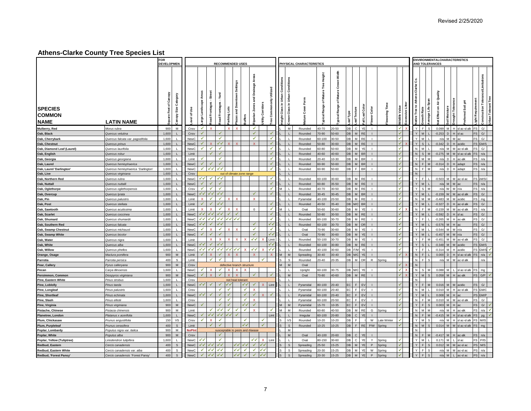|                                                |                                    | <b>FOR</b><br><b>DEVELOPMEN</b>                           |                  |                                      |                              |                                                           |                    | <b>RECOMMENDED USES</b>            |               |                                         |                                                    |                           |                                     | PHYSICAL CHARACTERISTICS |                                               |                                             |          |                              |                |             |                              |                                    |                    |                     | <b>ENVIRONMENTALCHARACTERISTICS</b><br><b>AND TOLERANCES</b> |              |               |               |                                            |                            |
|------------------------------------------------|------------------------------------|-----------------------------------------------------------|------------------|--------------------------------------|------------------------------|-----------------------------------------------------------|--------------------|------------------------------------|---------------|-----------------------------------------|----------------------------------------------------|---------------------------|-------------------------------------|--------------------------|-----------------------------------------------|---------------------------------------------|----------|------------------------------|----------------|-------------|------------------------------|------------------------------------|--------------------|---------------------|--------------------------------------------------------------|--------------|---------------|---------------|--------------------------------------------|----------------------------|
|                                                |                                    |                                                           |                  |                                      |                              |                                                           |                    |                                    |               |                                         |                                                    |                           |                                     |                          |                                               |                                             |          |                              |                |             |                              |                                    |                    |                     |                                                              |              |               |               |                                            |                            |
| <b>SPECIES</b><br><b>COMMON</b><br><b>NAME</b> | <b>LATIN NAME</b>                  | quare Feet of Canopy<br>Category<br>Size<br><b>Tanopy</b> | ౨<br>৳<br>g      | <b>Areas</b><br>cape<br>Lands<br>rge |                              | <b>Street</b><br>Yard<br>Frontages<br>pad Frontages<br>ag | Lots<br>arking l   | wntown Settings<br>and Dov<br>azas | <b>Affers</b> | Areas<br>nage<br>à<br>ਜ਼<br>iparian Zor | Utilized<br>Commononly<br>Corridor<br>tility<br>ee | leight Class in Urban Con | Conditio<br>Urban<br>-<br>පී<br>mwo | ৳                        | Height<br>Mature Tree<br>৳<br>Range<br>ypical | š<br>ö<br>Mature<br>৳<br>ඝ<br>Ran<br>ypical | eaf Type | all Leaf Colo<br>eaf Texture | ower Color     | Ĕ<br>ering  | Valu<br>xcessive<br>Vildlife | ပိ<br>-Clarke<br>lative Tree to At | <b>Growth Rate</b> | Span<br>Life<br>age | ≧<br>£<br>ø<br>ä<br>et Effect on                             | oil Moistu   | Ight          | 玉<br>Soil     | nce/Limitations<br>Tolerar<br>construction | <b>Jrban Tolerant Tree</b> |
| Mulberry, Red                                  | Morus rubra                        | 900<br>M                                                  | Cnsy             |                                      | $\checkmark$<br>$\mathbf{x}$ |                                                           | $\mathbf{x}$       |                                    |               | $\checkmark$                            |                                                    |                           | M                                   | Rounded                  | 40-70                                         | 20-50                                       | DB       | YE<br>$\mathbf{C}$           |                |             | $\checkmark$                 | $\mathsf{Y}$                       | F                  |                     | 0.099                                                        | M H          |               | l ac-si alk   | G/                                         |                            |
| Oak, Black                                     | Quercus velutina                   | 1,600<br>$\mathbf{L}$                                     | Cnsv             | √                                    |                              |                                                           |                    |                                    |               | ✔                                       | √                                                  |                           |                                     | Rounded                  | 70-90                                         | 50-60                                       | DB       | <b>RE</b><br>M               | $\mathbf{I}$   |             |                              |                                    | $\mathbf{M}$       |                     | $-0.253$                                                     | D            |               | sl ac         | G/                                         |                            |
| Oak, Cherrybark                                | Quercus falcata var. pagodifolia   | 1,600<br>L.                                               | NewC             | ✓                                    |                              |                                                           | ✔                  |                                    |               | $\checkmark$                            | ✔                                                  |                           |                                     | Rounded                  | 60-100                                        | 30-50                                       | DB.      | M<br><b>RE</b>               |                |             |                              |                                    |                    |                     | n/s                                                          |              |               |               | G/                                         |                            |
| Oak, Chestnut                                  | Quercus prinus                     | 1,600<br>$\mathbf{L}$                                     | <b>NewC</b>      |                                      | ✓                            | ✔✔                                                        |                    |                                    |               | $\mathbf{x}$                            | $\checkmark$                                       |                           |                                     | Rounded                  | 50-80                                         | 30-60                                       | DB       | M RE                         |                |             |                              | Y                                  | <sub>S</sub>       |                     | $-0.342$                                                     |              |               | acidic        | GM/S                                       |                            |
| Oak, Diamond Leaf (Laurel)                     | Quercus laurifolia                 | 1,600                                                     | NewC             |                                      |                              | ✔<br>✔                                                    |                    |                                    |               |                                         | ✓                                                  |                           |                                     | Rounded                  | 60-80                                         | 50-60                                       | DB       | M<br>YE                      |                |             |                              | N                                  | <b>M</b>           |                     | n/a                                                          |              |               | ac-sl alk     | G/                                         |                            |
| Oak, English                                   | Quercus robul                      | 1.600                                                     | Limit            |                                      |                              | ✓<br>✓                                                    |                    |                                    |               |                                         | ✓                                                  |                           |                                     | Rounded                  | 40-60                                         | 40-60                                       | DB       | $M$ BR                       |                |             | ✓                            | N                                  | $\mathbf{S}$       |                     | 0.275                                                        |              |               | sl ac-sl all  | n/a                                        |                            |
| Oak, Georgia                                   | Quercus georgiana                  | 1.600                                                     | I imit           |                                      |                              |                                                           | ✓                  |                                    |               |                                         | ✔                                                  |                           |                                     | Rounded                  | $20 - 40$                                     | 10-30                                       | DВ       | $M$ BR                       |                |             |                              | Y                                  |                    |                     | n/a                                                          | <sub>D</sub> |               | ac-alk        | n/a                                        |                            |
| Oak, Laurel                                    | Quercus hemisphaerica              | 1,600                                                     | NewC             | ✓                                    |                              | ✓                                                         |                    |                                    |               |                                         | ✓                                                  |                           |                                     | Rounded                  | 60-90                                         | 50-60                                       | DB       | $M$ BR                       |                |             |                              |                                    | $\mathsf{N}$<br>E  |                     | $-0.314$                                                     |              |               | adapt         | n/a                                        |                            |
| Oak, Laurel 'Darlington'                       | Quercus hemisphaerica 'Darlington' | 1,600                                                     | <b>NewC</b>      | ✔                                    | ママ                           | $\checkmark$                                              |                    |                                    |               |                                         | ✔                                                  |                           |                                     | Rounded                  | 60-90                                         | 50-60                                       | DB       | F<br><b>BR</b>               |                |             |                              | ${\sf N}$                          |                    |                     |                                                              | $n/a$ D      |               | adapt         | n/a                                        |                            |
| Oak, Live                                      | Quercus virginiana                 | 1,600<br>$\mathsf{L}$                                     | Cnsv             |                                      |                              |                                                           |                    | out of climate zone range          |               |                                         |                                                    |                           |                                     |                          |                                               |                                             |          |                              |                |             |                              | $\,$ N                             |                    |                     |                                                              |              |               |               |                                            |                            |
| Oak, Northern Red                              | Quercus rubra                      | 1.600                                                     | <b>NewC</b>      |                                      | ✓✓                           | ✓√<br>✔                                                   |                    |                                    |               |                                         | $\checkmark$                                       |                           |                                     | Rounded                  | 60-100                                        | 30-60                                       | DB.      | M RF                         |                |             |                              | $\vee$                             |                    |                     | $-0.503$                                                     |              |               | ac-sl ac      | M/SC                                       |                            |
| Oak, Nuttall                                   | Quercus nuttalli                   | 1.600                                                     | <b>NewC</b>      |                                      | ✓                            |                                                           |                    |                                    |               |                                         | $\checkmark$                                       |                           |                                     | Rounded                  | 60-80                                         | 35-50                                       | DB       | M RE                         |                |             |                              | Y                                  | M                  |                     |                                                              | $n/a$ M      |               |               | n/a                                        |                            |
| Oak, Oglethorpe                                | Quercus oglethorpensis             | 1.600                                                     | Cnsv             | ✔                                    |                              | ✓<br>✔                                                    |                    |                                    |               |                                         | $\checkmark$                                       |                           |                                     | Rounded                  | 40-70                                         | $30 - 50$                                   | DB.      | M RE                         |                |             |                              | $\vee$                             | <sub>S</sub>       |                     | n/a                                                          |              |               |               | n/a                                        |                            |
| Oak, Overcup                                   | Quercus Ivrata                     | 1.600<br>$\mathbf{L}$                                     | <b>NewC</b>      |                                      | ╱✓│<br>√√                    | ✓√                                                        |                    |                                    |               |                                         | ✓                                                  |                           | $\Box$                              | Rounded                  | $30 - 45$                                     | $30 - 45$                                   | DB       | M BR                         |                |             |                              | Y                                  | M                  |                     |                                                              | $-0.159$ W   |               | ac-sl alk     | G/                                         |                            |
| Oak, Pin                                       | Quercus palustris                  | 1.600<br>$\mathbf{L}$                                     | Limit            | $\mathbf{x}$                         |                              | ✔<br>✔                                                    | x                  |                                    |               | $\mathsf{x}$                            |                                                    |                           | -11                                 | Pyramidal                | 40-100                                        | $20 - 50$                                   | DB       | M RE                         | $\mathbf{I}$   |             | ✓                            | $\mathsf{N}$                       | M                  |                     | $-0.483$                                                     |              | M acidic      |               | mg                                         |                            |
| Oak, Post                                      | Quercus stellata                   | 1.600                                                     | Limit            |                                      |                              | ✓√                                                        |                    |                                    |               |                                         | √                                                  |                           | $\blacksquare$                      | Rounded                  | $40 - 50$                                     | $35 - 40$                                   |          | DB M/C BR                    |                |             | ✓                            | Y                                  | M                  |                     | $-0.327$                                                     |              |               | ac-sl alk     | G/                                         |                            |
| Oak. Sawtooth                                  | Quercus acutissima                 | 1.600                                                     | I imit           | $\mathbf{x}$                         |                              | $\mathsf{x}$<br>✔                                         |                    |                                    |               | $\mathbf 0$                             | √                                                  | M                         | - 1                                 | Oval                     | 50-60                                         | 30-60                                       | DВ       | M<br>YE                      | $\mathbf{I}$   |             | ✓                            | $\mathsf{N}$                       | l F                |                     | $-0.159$                                                     | M            |               | M ac-sl alk   | n/a                                        |                            |
| Oak, Scarlet                                   | Quercus coccinea                   | 1,600                                                     | <b>NewC</b>      |                                      | イイ イイ                        | ✔✔                                                        | ✓                  |                                    |               |                                         | $\checkmark$                                       |                           |                                     | Rounded                  | 50-80                                         | 30-50                                       | DB       | M RE                         |                |             | ✓                            | $\mathsf{Y}$                       |                    | M                   | $-0.592$                                                     |              |               | sl ac         | G/                                         |                            |
| Oak, Shumard                                   | Quercus shumardii                  | 1,600                                                     | NewC             |                                      | マイ イイ                        |                                                           | 11 11 11           |                                    |               |                                         | ✔                                                  |                           |                                     | Rounded                  | 60-100                                        | 30-70                                       | DB       | M RE                         | $\blacksquare$ |             | ✓                            | Y                                  |                    | F                   |                                                              | $-0.265$ M   | H ac-alk      |               | G/                                         |                            |
| Oak, Southern Red                              | Quercus falcata                    | 1,600                                                     | NewC             |                                      | ✓✓                           | ✓√<br>√                                                   |                    |                                    |               | $\checkmark$                            | $\checkmark$                                       |                           |                                     | Rounded                  | 60-100                                        | 30-70                                       | DB       | M OR                         |                |             | ✓                            | Y                                  |                    | M                   | $-0.576$                                                     |              |               |               | $\mathbb{G}/% \mathbb{G}^{\prime}$         |                            |
| Oak, Swamp Chestnut                            | Quercus michauxii                  | 1,600<br>$\mathbf{L}$                                     | NewC             |                                      | ✓<br>$\mathbf{x}$            |                                                           | ✓                  |                                    |               | ✔                                       | ✔                                                  |                           | $\blacksquare$                      | Oval                     | 70-90                                         | 30-60                                       | DB       | M<br>YE                      | $\mathbf{I}$   |             |                              | Y                                  | M                  |                     | $-0.544$                                                     |              | M M n/a       |               | $\mathbb{G}/$                              |                            |
| Oak, Swamp White                               | Quercus bicolor                    | 1,600                                                     | <b>NewC</b>      |                                      |                              |                                                           |                    |                                    |               | $\checkmark$                            | $\checkmark$                                       |                           |                                     | Oval                     | 70-90                                         | $30 - 60$                                   | DB       | M<br>YE                      |                |             |                              |                                    | M                  |                     | $-0.457$                                                     |              | $M$ $M$ $n/a$ |               | $\mathbb{G}/% \mathbb{G}^{\prime}$         |                            |
| Oak, Water                                     | Quercus nigra                      | 1,600<br>$\mathbf{L}$                                     | Limit            |                                      |                              | $\mathbf{x}$<br>$\mathbf x$                               | ¥                  |                                    | $\mathbf x$   | $\checkmark$                            | Limit                                              |                           |                                     | Rounded                  | 50-100                                        | 30-70                                       | DB       | M<br>YE                      | $\blacksquare$ |             |                              |                                    | E<br>Y             | <b>M</b>            | $-0.451$                                                     |              |               | M M ac-sl alk | G/                                         |                            |
| Oak, White                                     | Quercus alba                       | 1.600                                                     | NewC             |                                      | ✓√                           | √√                                                        |                    |                                    |               |                                         | $\checkmark$                                       |                           |                                     | Rounded                  | 60-100                                        | 30-80                                       | DВ.      | $M$ RE                       |                |             |                              |                                    | <sub>S</sub>       |                     | $-0.348$                                                     |              |               | cidic         | 3M/S                                       |                            |
| Oak, Willow                                    | Quercus phellos                    | 1,600                                                     | <b>NewC</b>      |                                      | マイ イイ                        |                                                           | ✓✓<br>$\checkmark$ | シン                                 |               | $\checkmark$                            | $\checkmark$                                       |                           |                                     | Rounded                  | 40-100                                        | 30-60                                       | DB F/M   | YE                           |                |             |                              | Y                                  | F                  |                     |                                                              | $-0.314$ M H |               | acidic        |                                            | GM/S $\checkmark$          |
| Orange, Osage                                  | Maclura pomifera                   | M<br>900                                                  | Limit            |                                      |                              | ✓                                                         |                    |                                    |               |                                         | $\mathbf{x}$                                       |                           | M                                   | Spreading                | $30 - 40$                                     | $30 - 40$                                   | ЭB.      | M/C<br>YE                    |                |             |                              | $\overline{N}$                     | $\epsilon$         |                     | 0.000                                                        |              |               | sl ac-sl all  | n/a                                        | $\checkmark$               |
| Parrotia                                       | Parrotia persica                   | 400<br>s                                                  | Limit            |                                      | ✓                            | ✓                                                         |                    |                                    |               |                                         | √                                                  |                           | s                                   | Rounded                  | 20-40                                         | 20-35                                       | DВ       | M OR                         | R              | Spring      |                              | ${\sf N}$                          | F                  |                     |                                                              | $n/a$ M M    |               | ac-sl alk     | n/a                                        |                            |
| Pear, Callery                                  | Pyrus calleryana                   | M<br>900                                                  | Cnsv             |                                      |                              |                                                           |                    | defective branch structure         |               |                                         |                                                    |                           | M                                   | Oval                     |                                               |                                             |          |                              |                |             |                              | N                                  |                    |                     |                                                              |              |               |               |                                            |                            |
| Pecan                                          | Carya illinoensis                  | 1,600<br>L.                                               | NewC             | ✓                                    |                              |                                                           | ✔<br>x             | $\mathbf x$                        | $\mathbf x$   |                                         |                                                    |                           | $\blacksquare$                      | Upright                  | 60-100                                        | 30-75                                       | DB M/C   | YE                           |                |             | ✓<br>x                       | ${\sf N}$                          | - S                | M                   |                                                              | $0.088$ M    |               | sl ac-sl all  | mg                                         |                            |
| Persimmon, Common                              | Diospyros virginiana               | M<br>900                                                  | New <sub>C</sub> |                                      |                              |                                                           |                    |                                    |               |                                         |                                                    |                           | M                                   | Oval                     | 70-80                                         | 40-60                                       | DB       | M RE                         |                |             |                              | $\vee$                             |                    |                     | 0.058                                                        |              |               | ac-alk        | G/P                                        |                            |
| <b>Pine, Eastern White</b>                     | Pinus strobus                      | 1,600                                                     | Cnsv             |                                      |                              |                                                           |                    | not heat tolerant                  |               |                                         |                                                    |                           |                                     |                          |                                               |                                             |          |                              |                |             |                              | ${\sf N}$                          |                    |                     |                                                              |              |               |               |                                            |                            |
| Pine, Loblolly                                 | Pinus taeda                        | 1,600                                                     | <b>NewC</b>      |                                      | ✓✓                           |                                                           | ✓√                 |                                    | ✓✓            |                                         | Limt                                               |                           |                                     | Pyramidal                | 80-100                                        | $20 - 40$                                   | EC.      | $F$ EV                       |                |             |                              |                                    | Y                  |                     | 0.016                                                        |              |               | cidic         | G/                                         |                            |
| Pine, Longleaf                                 | Pinus palustris                    | 1,600<br>L                                                | Cnsv             |                                      |                              | ✓                                                         | ✓                  |                                    | ✓             | $\mathbf x$                             |                                                    |                           |                                     | Pyramidal                | 60-100                                        | 20-40                                       | ЕC       | F<br>EV                      |                |             |                              | N                                  | M                  |                     |                                                              | $0.010$ M H  |               | ac-sl alk     | GM/C                                       |                            |
| <b>Pine, Shortleaf</b>                         | Pinus echinata                     | 1,600                                                     | NewC             |                                      | ✓✓                           | ✓                                                         | ✓                  |                                    | ✓             | ✓                                       |                                                    |                           |                                     | Pyramidal                | 60-100                                        | $20 - 40$                                   | EC       | F<br>EV                      |                |             |                              |                                    | $\overline{M}$     |                     | 0.008                                                        |              |               |               | GM/P                                       |                            |
| Pine, Slash                                    | Pinus elliotii                     | 1,600                                                     | Cnsv             |                                      |                              |                                                           | ✔<br>✓             |                                    | $\checkmark$  | $\mathsf{x}$                            |                                                    |                           |                                     | Pyramidal                | 60-100                                        | $20 - 50$                                   | EC I     | F<br>EV                      |                |             |                              | ${\sf N}$                          | I F                | <b>M</b>            |                                                              | $0.010$ M M  |               | ac-sl alk     | G/                                         |                            |
| Pine, Virginia                                 | Pinus virginiana                   | 900<br>M                                                  | New <sub>C</sub> |                                      |                              |                                                           |                    |                                    | $\checkmark$  |                                         |                                                    |                           | M                                   | Pyramidal                | $15 - 70$                                     | $10 - 35$                                   | FC.      | $F$ EV                       |                |             |                              | $\vee$                             | $\mathbf{r}$       |                     | 0.003                                                        |              |               |               | G/                                         |                            |
| <b>Pistache, Chinese</b>                       | Pistacia chinensis                 | 900<br>M                                                  | Limit            |                                      | √                            | ✓✓                                                        | ✓                  |                                    | $\checkmark$  | Y                                       | ✓                                                  |                           | M                                   | Rounded                  | 60-80                                         | $40 - 50$                                   | db I     | M RE                         | G              | Spring      |                              | $\mathsf{N}$                       | <b>M</b>           |                     | n/a                                                          |              |               | ic-alk        | n/a                                        | ✓                          |
| Planetree, London                              | Platanus x acerifolia              | 1.600<br>$\mathbf{L}$                                     | <b>NewC</b>      |                                      |                              | ✓√<br>$\checkmark$                                        | ✓√                 |                                    |               |                                         | Limt                                               |                           |                                     | Irregular                | 60-100                                        | 20-80                                       | DB       | $\mathsf{C}$<br>YE           |                |             |                              | $\mathbf{N}$                       |                    |                     | $-0.415$                                                     |              |               | sl ac-sl alk  | pg                                         | V                          |
| Plum, Chickasaw                                | Prunus angustifolia                | 150<br><b>VS</b>                                          | Cnsv             | ✔                                    |                              | $\mathbf{x}$<br>✔                                         |                    |                                    | ✔             |                                         | ✓                                                  | S.                        | <b>VS</b>                           | Rounded                  | $10 - 20$                                     | $10 - 20$                                   | DB       | F                            | W              | Late Winter |                              | Y                                  | M                  | -S                  |                                                              | $n/a$ M      |               | sl ac-sl alk  | M/IS                                       |                            |
| Plum, Purpleleaf                               | Prunus cerasifera                  | 400<br>$\mathsf{s}$                                       | I imit           |                                      |                              | ✔                                                         |                    |                                    | $\checkmark$  |                                         | ✓                                                  | $\mathbf{s}$              | <sub>S</sub>                        | Rounded                  | $10 - 25$                                     | $10-25$                                     | DB       | $F$ RE                       |                | P/W Spring  |                              | $\,$ N $\,$                        | M                  | <sub>S</sub>        |                                                              | $0.014$ M    |               | sl ac-sl alk  | mg                                         |                            |
| Poplar, Lombardy                               | Populus nigra var. italica         | M<br>900                                                  | NoPInt           |                                      |                              |                                                           |                    | susceptable to pests and disease   |               |                                         |                                                    |                           | M                                   |                          |                                               |                                             |          |                              |                |             |                              | ${\sf N}$                          |                    |                     |                                                              |              |               |               |                                            |                            |
| Poplar, White                                  | Populus alba                       | M<br>900                                                  | Cnsv             |                                      |                              |                                                           | ✓                  |                                    |               |                                         |                                                    |                           | M                                   | Oval                     | 40-100                                        | 20-60                                       | DB       | $\mathbf{C}$<br><b>YE</b>    |                |             |                              | $\overline{N}$                     |                    |                     | $-0.417$                                                     |              |               | c-all         | n/a                                        |                            |
| Poplar, Yellow (Tuliptree)                     | Liriodendron tulipifera            | 1,600                                                     | NewC             | ✓✓                                   |                              |                                                           | ✓                  |                                    |               | ✓✓                                      | $\mathbf x$<br>Limt                                |                           |                                     | Oval                     | 80-150                                        | 30-60                                       | DВ       | $\mathbf{C}$<br>YE           | Y              | Spring      |                              | Y                                  | M                  |                     |                                                              | 0.171 M      |               | sl ac         | P/IS                                       |                            |
| Redbud, Eastern                                | Cercis canadensis                  | 400<br>$\mathbb S$                                        | NewC             |                                      | ✓✓                           | ✓√                                                        |                    |                                    | ✓√            | $\checkmark$                            | ✔                                                  |                           | <sub>S</sub>                        | Spreading                | $25 - 50$                                     | $15-25$                                     | DB       | <b>YE</b><br>M               | P              | Spring      |                              | Y                                  | F                  |                     |                                                              | 0.012 M      |               | ac-sl ac      | M/S                                        |                            |
| <b>Redbud, Eastern White</b>                   | Cercis canadensis var. alba        | 400<br>s                                                  | NewC             |                                      | マーマイ                         | ✔                                                         |                    | ✔                                  | ✓             | ✔                                       | ✔                                                  | Ś                         | s                                   | Spreading                | 20-30                                         | 15-25                                       | DB       | M<br>YE                      | W              | Spring      | ✓                            | Y                                  | l F                | -S                  |                                                              | n/a M M      |               | ac-sl ac      | n/a                                        |                            |
| Redbud, 'Forest Pansy'                         | Cercis canadensis 'Forest Pansy'   | 400<br>$\mathsf{s}$                                       | NewC             | ✔                                    |                              | ✔✔<br>✔✔                                                  |                    | ✔                                  | ✔             | ✔                                       | ✔                                                  | $\mathsf{s}$              | $\mathsf{s}$                        | Spreading                | 20-30                                         | $15-25$                                     | DB       | M YE                         | P              | Spring      | ✓                            |                                    | YF                 | $\mathsf{s}$        |                                                              | $n/a$ M L    |               | ac-sl ac      | n/a<br>PS                                  |                            |